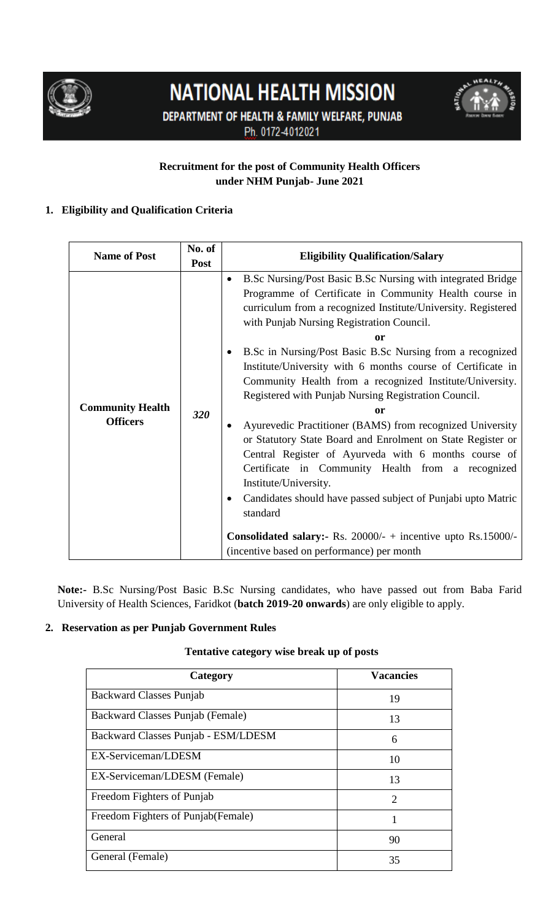

# **NATIONAL HEALTH MISSION**





# **Recruitment for the post of Community Health Officers under NHM Punjab- June 2021**

# **1. Eligibility and Qualification Criteria**

| <b>Name of Post</b>                        | No. of      | <b>Eligibility Qualification/Salary</b>                                                                                                                                                                                                                                                                                                                                                                                                                                                                                                                                                                                                                                                                                                                                                                                                                                              |  |
|--------------------------------------------|-------------|--------------------------------------------------------------------------------------------------------------------------------------------------------------------------------------------------------------------------------------------------------------------------------------------------------------------------------------------------------------------------------------------------------------------------------------------------------------------------------------------------------------------------------------------------------------------------------------------------------------------------------------------------------------------------------------------------------------------------------------------------------------------------------------------------------------------------------------------------------------------------------------|--|
|                                            | <b>Post</b> |                                                                                                                                                                                                                                                                                                                                                                                                                                                                                                                                                                                                                                                                                                                                                                                                                                                                                      |  |
| <b>Community Health</b><br><b>Officers</b> | 320         | B.Sc Nursing/Post Basic B.Sc Nursing with integrated Bridge<br>٠<br>Programme of Certificate in Community Health course in<br>curriculum from a recognized Institute/University. Registered<br>with Punjab Nursing Registration Council.<br><sub>or</sub><br>B.Sc in Nursing/Post Basic B.Sc Nursing from a recognized<br>$\bullet$<br>Institute/University with 6 months course of Certificate in<br>Community Health from a recognized Institute/University.<br>Registered with Punjab Nursing Registration Council.<br>or<br>Ayurevedic Practitioner (BAMS) from recognized University<br>٠<br>or Statutory State Board and Enrolment on State Register or<br>Central Register of Ayurveda with 6 months course of<br>Certificate in Community Health from a recognized<br>Institute/University.<br>Candidates should have passed subject of Punjabi upto Matric<br>٠<br>standard |  |
|                                            |             | <b>Consolidated salary:</b> Rs. $20000/-$ + incentive upto Rs.15000/-<br>(incentive based on performance) per month                                                                                                                                                                                                                                                                                                                                                                                                                                                                                                                                                                                                                                                                                                                                                                  |  |
|                                            |             |                                                                                                                                                                                                                                                                                                                                                                                                                                                                                                                                                                                                                                                                                                                                                                                                                                                                                      |  |

**Note:-** B.Sc Nursing/Post Basic B.Sc Nursing candidates, who have passed out from Baba Farid University of Health Sciences, Faridkot (**batch 2019-20 onwards**) are only eligible to apply.

# **2. Reservation as per Punjab Government Rules**

## **Tentative category wise break up of posts**

| Category                            | <b>Vacancies</b>            |
|-------------------------------------|-----------------------------|
| <b>Backward Classes Punjab</b>      | 19                          |
| Backward Classes Punjab (Female)    | 13                          |
| Backward Classes Punjab - ESM/LDESM | 6                           |
| EX-Serviceman/LDESM                 | 10                          |
| EX-Serviceman/LDESM (Female)        | 13                          |
| Freedom Fighters of Punjab          | $\mathcal{D}_{\mathcal{L}}$ |
| Freedom Fighters of Punjab (Female) |                             |
| General                             | 90                          |
| General (Female)                    | 35                          |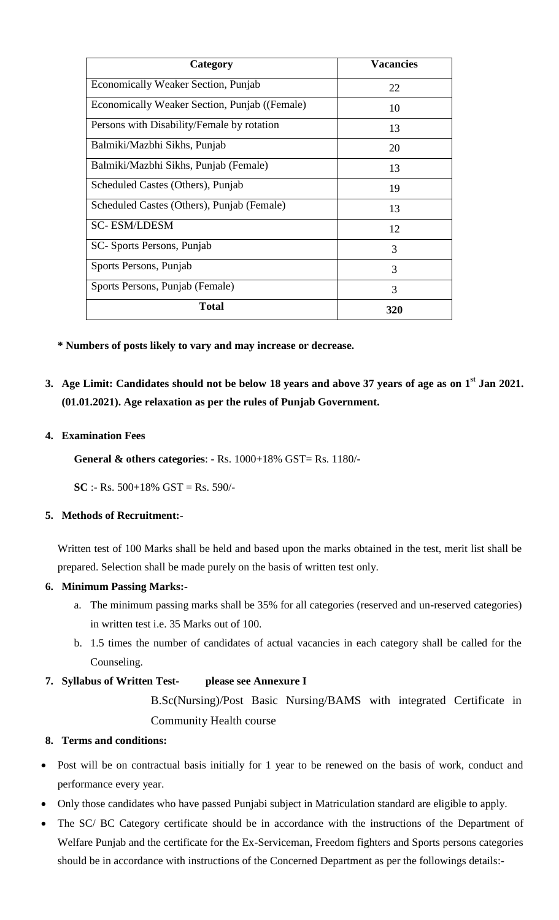| Category                                      | <b>Vacancies</b> |
|-----------------------------------------------|------------------|
| <b>Economically Weaker Section, Punjab</b>    | 22               |
| Economically Weaker Section, Punjab ((Female) | 10               |
| Persons with Disability/Female by rotation    | 13               |
| Balmiki/Mazbhi Sikhs, Punjab                  | 20               |
| Balmiki/Mazbhi Sikhs, Punjab (Female)         | 13               |
| Scheduled Castes (Others), Punjab             | 19               |
| Scheduled Castes (Others), Punjab (Female)    | 13               |
| <b>SC-ESM/LDESM</b>                           | 12               |
| SC-Sports Persons, Punjab                     | 3                |
| Sports Persons, Punjab                        | 3                |
| Sports Persons, Punjab (Female)               | 3                |
| <b>Total</b>                                  | 320              |

**\* Numbers of posts likely to vary and may increase or decrease.**

**3. Age Limit: Candidates should not be below 18 years and above 37 years of age as on 1 st Jan 2021. (01.01.2021). Age relaxation as per the rules of Punjab Government.**

#### **4. Examination Fees**

**General & others categories**: - Rs. 1000+18% GST= Rs. 1180/-

**SC** :- Rs. 500+18% GST = Rs. 590/-

#### **5. Methods of Recruitment:-**

Written test of 100 Marks shall be held and based upon the marks obtained in the test, merit list shall be prepared. Selection shall be made purely on the basis of written test only.

#### **6. Minimum Passing Marks:-**

- a. The minimum passing marks shall be 35% for all categories (reserved and un-reserved categories) in written test i.e. 35 Marks out of 100.
- b. 1.5 times the number of candidates of actual vacancies in each category shall be called for the Counseling.

## **7. Syllabus of Written Test- please see Annexure I**

B.Sc(Nursing)/Post Basic Nursing/BAMS with integrated Certificate in Community Health course

## **8. Terms and conditions:**

- Post will be on contractual basis initially for 1 year to be renewed on the basis of work, conduct and performance every year.
- Only those candidates who have passed Punjabi subject in Matriculation standard are eligible to apply.
- The SC/ BC Category certificate should be in accordance with the instructions of the Department of Welfare Punjab and the certificate for the Ex-Serviceman, Freedom fighters and Sports persons categories should be in accordance with instructions of the Concerned Department as per the followings details:-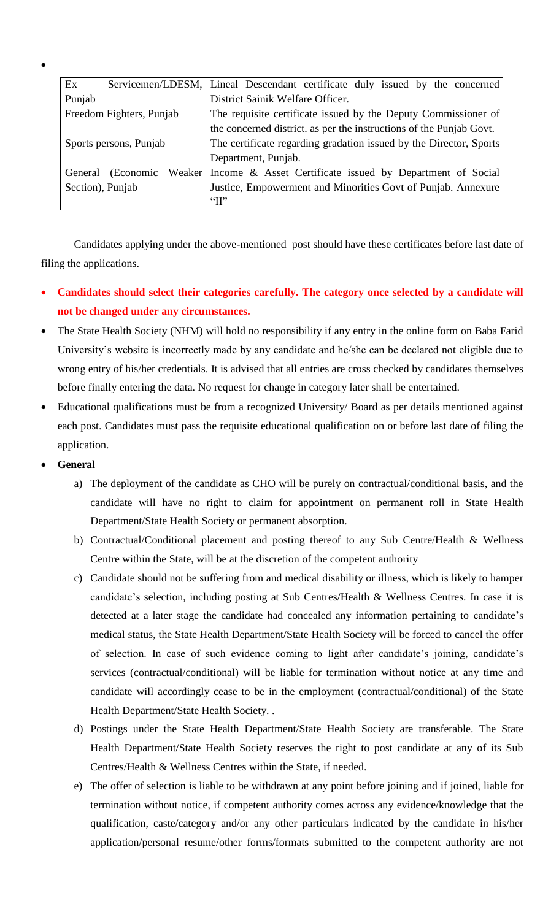| Ex                       |           | Servicemen/LDESM,   Lineal Descendant certificate duly issued by the concerned |  |
|--------------------------|-----------|--------------------------------------------------------------------------------|--|
| Punjab                   |           | District Sainik Welfare Officer.                                               |  |
| Freedom Fighters, Punjab |           | The requisite certificate issued by the Deputy Commissioner of                 |  |
|                          |           | the concerned district. as per the instructions of the Punjab Govt.            |  |
| Sports persons, Punjab   |           | The certificate regarding gradation issued by the Director, Sports             |  |
|                          |           | Department, Punjab.                                                            |  |
| General                  | (Economic | Weaker Income & Asset Certificate issued by Department of Social               |  |
| Section), Punjab         |           | Justice, Empowerment and Minorities Govt of Punjab. Annexure                   |  |
|                          |           | $\lq\lq$ $\lq\lq$                                                              |  |
|                          |           |                                                                                |  |

Candidates applying under the above-mentioned post should have these certificates before last date of filing the applications.

- **Candidates should select their categories carefully. The category once selected by a candidate will not be changed under any circumstances.**
- The State Health Society (NHM) will hold no responsibility if any entry in the online form on Baba Farid University's website is incorrectly made by any candidate and he/she can be declared not eligible due to wrong entry of his/her credentials. It is advised that all entries are cross checked by candidates themselves before finally entering the data. No request for change in category later shall be entertained.
- Educational qualifications must be from a recognized University/ Board as per details mentioned against each post. Candidates must pass the requisite educational qualification on or before last date of filing the application.
- **General**

 $\bullet$ 

- a) The deployment of the candidate as CHO will be purely on contractual/conditional basis, and the candidate will have no right to claim for appointment on permanent roll in State Health Department/State Health Society or permanent absorption.
- b) Contractual/Conditional placement and posting thereof to any Sub Centre/Health & Wellness Centre within the State, will be at the discretion of the competent authority
- c) Candidate should not be suffering from and medical disability or illness, which is likely to hamper candidate's selection, including posting at Sub Centres/Health & Wellness Centres. In case it is detected at a later stage the candidate had concealed any information pertaining to candidate's medical status, the State Health Department/State Health Society will be forced to cancel the offer of selection. In case of such evidence coming to light after candidate's joining, candidate's services (contractual/conditional) will be liable for termination without notice at any time and candidate will accordingly cease to be in the employment (contractual/conditional) of the State Health Department/State Health Society. .
- d) Postings under the State Health Department/State Health Society are transferable. The State Health Department/State Health Society reserves the right to post candidate at any of its Sub Centres/Health & Wellness Centres within the State, if needed.
- e) The offer of selection is liable to be withdrawn at any point before joining and if joined, liable for termination without notice, if competent authority comes across any evidence/knowledge that the qualification, caste/category and/or any other particulars indicated by the candidate in his/her application/personal resume/other forms/formats submitted to the competent authority are not